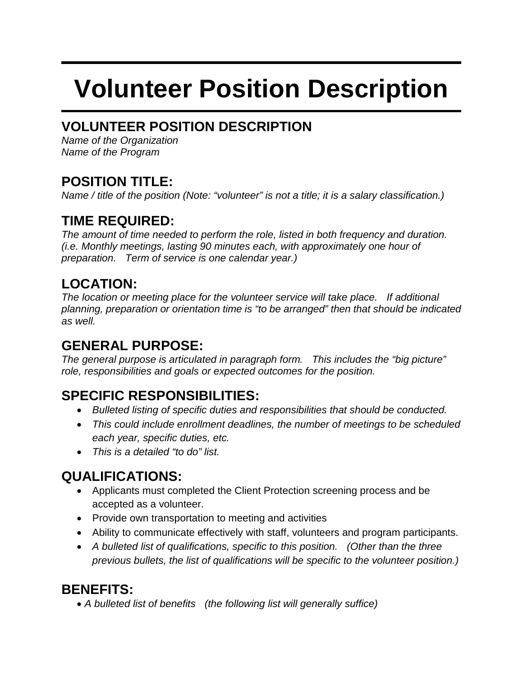# **Volunteer Position Description**

# **VOLUNTEER POSITION DESCRIPTION**

*Name of the Organization Name of the Program*

## **POSITION TITLE:**

*Name / title of the position (Note: "volunteer" is not a title; it is a salary classification.)*

# **TIME REQUIRED:**

*The amount of time needed to perform the role, listed in both frequency and duration. (i.e. Monthly meetings, lasting 90 minutes each, with approximately one hour of preparation. Term of service is one calendar year.)*

## **LOCATION:**

*The location or meeting place for the volunteer service will take place. If additional planning, preparation or orientation time is "to be arranged" then that should be indicated as well.*

# **GENERAL PURPOSE:**

*The general purpose is articulated in paragraph form. This includes the "big picture" role, responsibilities and goals or expected outcomes for the position.*

# **SPECIFIC RESPONSIBILITIES:**

- *Bulleted listing of specific duties and responsibilities that should be conducted.*
- *This could include enrollment deadlines, the number of meetings to be scheduled each year, specific duties, etc.*
- *This is a detailed "to do" list.*

# **QUALIFICATIONS:**

- Applicants must completed the Client Protection screening process and be accepted as a volunteer.
- Provide own transportation to meeting and activities
- Ability to communicate effectively with staff, volunteers and program participants.
- *A bulleted list of qualifications, specific to this position. (Other than the three previous bullets, the list of qualifications will be specific to the volunteer position.)*

## **BENEFITS:**

• *A bulleted list of benefits (the following list will generally suffice)*